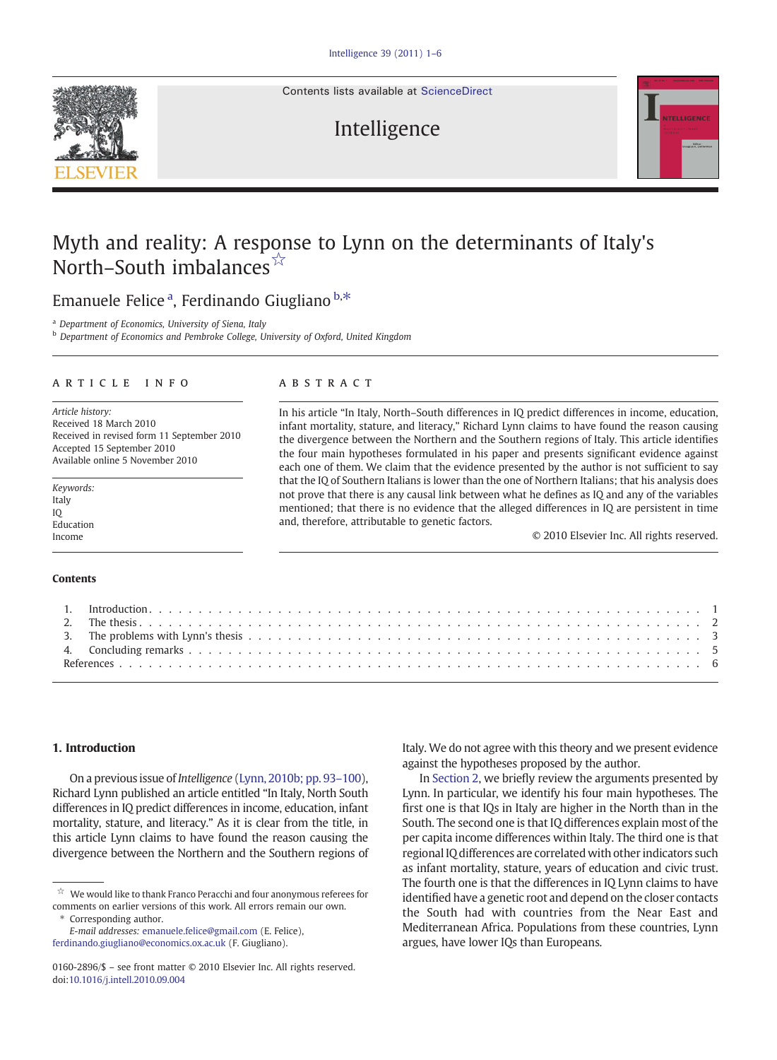Contents lists available at [ScienceDirect](http://www.sciencedirect.com/science/journal/01602896)

# Intelligence



## Myth and reality: A response to Lynn on the determinants of Italy's North–South imbalances<sup>☆</sup>

Emanuele Felice <sup>a</sup>, Ferdinando Giugliano <sup>b,\*</sup>

<sup>a</sup> Department of Economics, University of Siena, Italy

<sup>b</sup> Department of Economics and Pembroke College, University of Oxford, United Kingdom

#### article info abstract

Article history: Received 18 March 2010 Received in revised form 11 September 2010 Accepted 15 September 2010 Available online 5 November 2010

Keywords: Italy IQ Education Income

Contents

In his article "In Italy, North–South differences in IQ predict differences in income, education, infant mortality, stature, and literacy," Richard Lynn claims to have found the reason causing the divergence between the Northern and the Southern regions of Italy. This article identifies the four main hypotheses formulated in his paper and presents significant evidence against each one of them. We claim that the evidence presented by the author is not sufficient to say that the IQ of Southern Italians is lower than the one of Northern Italians; that his analysis does not prove that there is any causal link between what he defines as IQ and any of the variables mentioned; that there is no evidence that the alleged differences in IQ are persistent in time and, therefore, attributable to genetic factors.

© 2010 Elsevier Inc. All rights reserved.

| . . | . . |
|-----|-----|
|     |     |
|     |     |
|     |     |
|     |     |
|     |     |
|     |     |
|     |     |
|     |     |
|     |     |
|     |     |

#### 1. Introduction

On a previous issue of Intelligence ([Lynn, 2010b; pp. 93](#page-5-0)–100), Richard Lynn published an article entitled "In Italy, North South differences in IQ predict differences in income, education, infant mortality, stature, and literacy." As it is clear from the title, in this article Lynn claims to have found the reason causing the divergence between the Northern and the Southern regions of

Corresponding author.

E-mail addresses: [emanuele.felice@gmail.com](mailto:emanuele.felice@gmail.com) (E. Felice), [ferdinando.giugliano@economics.ox.ac.uk](mailto:ferdinando.giugliano@economics.ox.ac.uk) (F. Giugliano).

Italy. We do not agree with this theory and we present evidence against the hypotheses proposed by the author.

In [Section 2](#page-1-0), we briefly review the arguments presented by Lynn. In particular, we identify his four main hypotheses. The first one is that IQs in Italy are higher in the North than in the South. The second one is that IQ differences explain most of the per capita income differences within Italy. The third one is that regional IQ differences are correlated with other indicators such as infant mortality, stature, years of education and civic trust. The fourth one is that the differences in IQ Lynn claims to have identified have a genetic root and depend on the closer contacts the South had with countries from the Near East and Mediterranean Africa. Populations from these countries, Lynn argues, have lower IQs than Europeans.

<sup>☆</sup> We would like to thank Franco Peracchi and four anonymous referees for comments on earlier versions of this work. All errors remain our own.

<sup>0160-2896/\$</sup> – see front matter © 2010 Elsevier Inc. All rights reserved. doi[:10.1016/j.intell.2010.09.004](http://dx.doi.org/10.1016/j.intell.2010.09.004)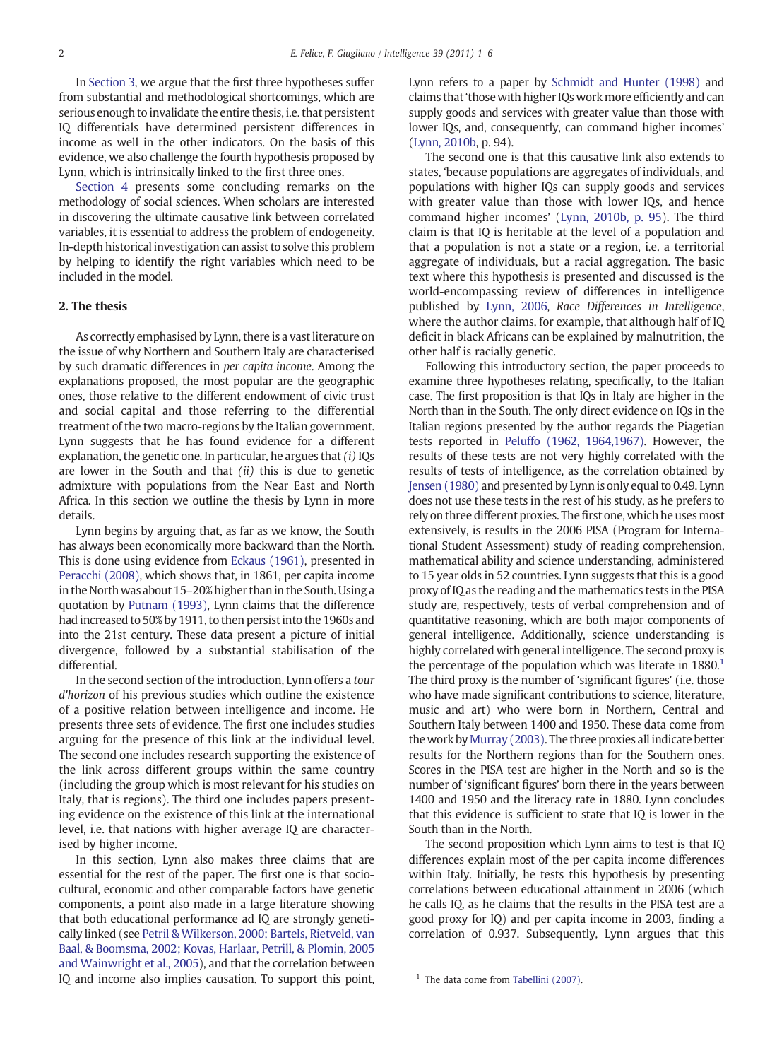<span id="page-1-0"></span>In [Section 3,](#page-2-0) we argue that the first three hypotheses suffer from substantial and methodological shortcomings, which are serious enough to invalidate the entire thesis, i.e. that persistent IQ differentials have determined persistent differences in income as well in the other indicators. On the basis of this evidence, we also challenge the fourth hypothesis proposed by Lynn, which is intrinsically linked to the first three ones.

[Section 4](#page-4-0) presents some concluding remarks on the methodology of social sciences. When scholars are interested in discovering the ultimate causative link between correlated variables, it is essential to address the problem of endogeneity. In-depth historical investigation can assist to solve this problem by helping to identify the right variables which need to be included in the model.

### 2. The thesis

As correctly emphasised by Lynn, there is a vast literature on the issue of why Northern and Southern Italy are characterised by such dramatic differences in per capita income. Among the explanations proposed, the most popular are the geographic ones, those relative to the different endowment of civic trust and social capital and those referring to the differential treatment of the two macro-regions by the Italian government. Lynn suggests that he has found evidence for a different explanation, the genetic one. In particular, he argues that  $(i)$  IQs are lower in the South and that  $(ii)$  this is due to genetic admixture with populations from the Near East and North Africa. In this section we outline the thesis by Lynn in more details.

Lynn begins by arguing that, as far as we know, the South has always been economically more backward than the North. This is done using evidence from [Eckaus \(1961\)](#page-5-0), presented in [Peracchi \(2008\),](#page-5-0) which shows that, in 1861, per capita income in the North was about 15–20% higher than in the South. Using a quotation by [Putnam \(1993\)](#page-5-0), Lynn claims that the difference had increased to 50% by 1911, to then persist into the 1960s and into the 21st century. These data present a picture of initial divergence, followed by a substantial stabilisation of the differential.

In the second section of the introduction, Lynn offers a tour d'horizon of his previous studies which outline the existence of a positive relation between intelligence and income. He presents three sets of evidence. The first one includes studies arguing for the presence of this link at the individual level. The second one includes research supporting the existence of the link across different groups within the same country (including the group which is most relevant for his studies on Italy, that is regions). The third one includes papers presenting evidence on the existence of this link at the international level, i.e. that nations with higher average IQ are characterised by higher income.

In this section, Lynn also makes three claims that are essential for the rest of the paper. The first one is that sociocultural, economic and other comparable factors have genetic components, a point also made in a large literature showing that both educational performance ad IQ are strongly genetically linked (see [Petril & Wilkerson, 2000; Bartels, Rietveld, van](#page-5-0) [Baal, & Boomsma, 2002; Kovas, Harlaar, Petrill, & Plomin, 2005](#page-5-0) [and Wainwright et al., 2005](#page-5-0)), and that the correlation between IQ and income also implies causation. To support this point, Lynn refers to a paper by [Schmidt and Hunter \(1998\)](#page-5-0) and claims that'those with higher IQs workmore efficiently and can supply goods and services with greater value than those with lower IQs, and, consequently, can command higher incomes' ([Lynn, 2010b](#page-5-0), p. 94).

The second one is that this causative link also extends to states, 'because populations are aggregates of individuals, and populations with higher IQs can supply goods and services with greater value than those with lower IQs, and hence command higher incomes' ([Lynn, 2010b, p. 95\)](#page-5-0). The third claim is that IQ is heritable at the level of a population and that a population is not a state or a region, i.e. a territorial aggregate of individuals, but a racial aggregation. The basic text where this hypothesis is presented and discussed is the world-encompassing review of differences in intelligence published by [Lynn, 2006](#page-5-0), Race Differences in Intelligence, where the author claims, for example, that although half of IQ deficit in black Africans can be explained by malnutrition, the other half is racially genetic.

Following this introductory section, the paper proceeds to examine three hypotheses relating, specifically, to the Italian case. The first proposition is that IQs in Italy are higher in the North than in the South. The only direct evidence on IQs in the Italian regions presented by the author regards the Piagetian tests reported in [Peluffo \(1962, 1964,1967\)](#page-5-0). However, the results of these tests are not very highly correlated with the results of tests of intelligence, as the correlation obtained by [Jensen \(1980\)](#page-5-0) and presented by Lynn is only equal to 0.49. Lynn does not use these tests in the rest of his study, as he prefers to rely on three different proxies. The first one, which he uses most extensively, is results in the 2006 PISA (Program for International Student Assessment) study of reading comprehension, mathematical ability and science understanding, administered to 15 year olds in 52 countries. Lynn suggests that this is a good proxy of IQ as the reading and the mathematics tests in the PISA study are, respectively, tests of verbal comprehension and of quantitative reasoning, which are both major components of general intelligence. Additionally, science understanding is highly correlated with general intelligence. The second proxy is the percentage of the population which was literate in  $1880$ <sup>1</sup> The third proxy is the number of 'significant figures' (i.e. those who have made significant contributions to science, literature, music and art) who were born in Northern, Central and Southern Italy between 1400 and 1950. These data come from the work by [Murray \(2003\).](#page-5-0) The three proxies all indicate better results for the Northern regions than for the Southern ones. Scores in the PISA test are higher in the North and so is the number of 'significant figures' born there in the years between 1400 and 1950 and the literacy rate in 1880. Lynn concludes that this evidence is sufficient to state that IQ is lower in the South than in the North.

The second proposition which Lynn aims to test is that IQ differences explain most of the per capita income differences within Italy. Initially, he tests this hypothesis by presenting correlations between educational attainment in 2006 (which he calls IQ, as he claims that the results in the PISA test are a good proxy for IQ) and per capita income in 2003, finding a correlation of 0.937. Subsequently, Lynn argues that this

 $1$  The data come from [Tabellini \(2007\).](#page-5-0)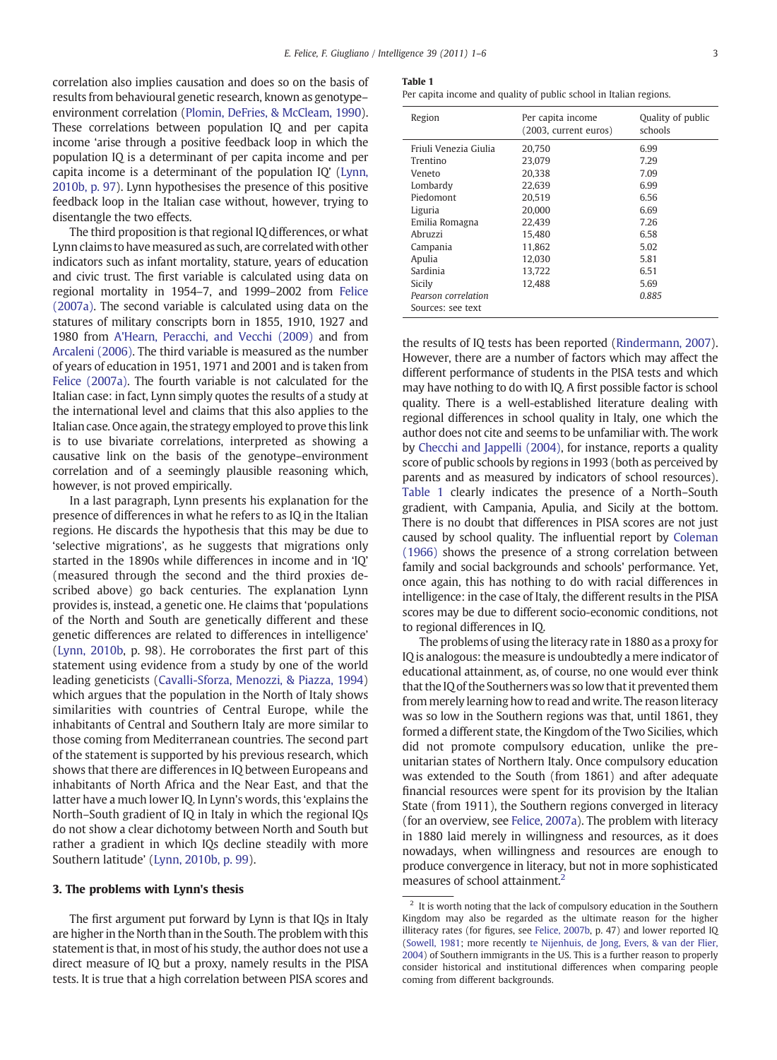<span id="page-2-0"></span>correlation also implies causation and does so on the basis of results from behavioural genetic research, known as genotype– environment correlation [\(Plomin, DeFries, & McCleam, 1990\)](#page-5-0). These correlations between population IQ and per capita income 'arise through a positive feedback loop in which the population IQ is a determinant of per capita income and per capita income is a determinant of the population IQ' ([Lynn,](#page-5-0) [2010b, p. 97](#page-5-0)). Lynn hypothesises the presence of this positive feedback loop in the Italian case without, however, trying to disentangle the two effects.

The third proposition is that regional IQ differences, or what Lynn claims to have measured as such, are correlated with other indicators such as infant mortality, stature, years of education and civic trust. The first variable is calculated using data on regional mortality in 1954–7, and 1999–2002 from [Felice](#page-5-0) [\(2007a\).](#page-5-0) The second variable is calculated using data on the statures of military conscripts born in 1855, 1910, 1927 and 1980 from [A'Hearn, Peracchi, and Vecchi \(2009\)](#page-5-0) and from [Arcaleni \(2006\).](#page-5-0) The third variable is measured as the number of years of education in 1951, 1971 and 2001 and is taken from [Felice \(2007a\)](#page-5-0). The fourth variable is not calculated for the Italian case: in fact, Lynn simply quotes the results of a study at the international level and claims that this also applies to the Italian case. Once again, the strategy employed to prove this link is to use bivariate correlations, interpreted as showing a causative link on the basis of the genotype–environment correlation and of a seemingly plausible reasoning which, however, is not proved empirically.

In a last paragraph, Lynn presents his explanation for the presence of differences in what he refers to as IQ in the Italian regions. He discards the hypothesis that this may be due to 'selective migrations', as he suggests that migrations only started in the 1890s while differences in income and in 'IQ' (measured through the second and the third proxies described above) go back centuries. The explanation Lynn provides is, instead, a genetic one. He claims that 'populations of the North and South are genetically different and these genetic differences are related to differences in intelligence' [\(Lynn, 2010b](#page-5-0), p. 98). He corroborates the first part of this statement using evidence from a study by one of the world leading geneticists [\(Cavalli-Sforza, Menozzi, & Piazza, 1994\)](#page-5-0) which argues that the population in the North of Italy shows similarities with countries of Central Europe, while the inhabitants of Central and Southern Italy are more similar to those coming from Mediterranean countries. The second part of the statement is supported by his previous research, which shows that there are differences in IQ between Europeans and inhabitants of North Africa and the Near East, and that the latter have a much lower IQ. In Lynn's words, this 'explains the North–South gradient of IQ in Italy in which the regional IQs do not show a clear dichotomy between North and South but rather a gradient in which IQs decline steadily with more Southern latitude' ([Lynn, 2010b, p. 99](#page-5-0)).

#### 3. The problems with Lynn's thesis

The first argument put forward by Lynn is that IQs in Italy are higher in the North than in the South. The problem with this statement is that, in most of his study, the author does not use a direct measure of IQ but a proxy, namely results in the PISA tests. It is true that a high correlation between PISA scores and

|--|--|--|--|--|

Per capita income and quality of public school in Italian regions.

| Region                | Per capita income<br>(2003, current euros) | Quality of public<br>schools |
|-----------------------|--------------------------------------------|------------------------------|
| Friuli Venezia Giulia | 20.750                                     | 6.99                         |
| Trentino              | 23.079                                     | 7.29                         |
| Veneto                | 20.338                                     | 7.09                         |
| Lombardy              | 22.639                                     | 6.99                         |
| Piedomont             | 20.519                                     | 6.56                         |
| Liguria               | 20,000                                     | 6.69                         |
| Emilia Romagna        | 22.439                                     | 7.26                         |
| Abruzzi               | 15.480                                     | 6.58                         |
| Campania              | 11.862                                     | 5.02                         |
| Apulia                | 12,030                                     | 5.81                         |
| Sardinia              | 13,722                                     | 6.51                         |
| Sicily                | 12.488                                     | 5.69                         |
| Pearson correlation   |                                            | 0.885                        |
| Sources: see text     |                                            |                              |

the results of IQ tests has been reported ([Rindermann, 2007\)](#page-5-0). However, there are a number of factors which may affect the different performance of students in the PISA tests and which may have nothing to do with IQ. A first possible factor is school quality. There is a well-established literature dealing with regional differences in school quality in Italy, one which the author does not cite and seems to be unfamiliar with. The work by [Checchi and Jappelli \(2004\),](#page-5-0) for instance, reports a quality score of public schools by regions in 1993 (both as perceived by parents and as measured by indicators of school resources). Table 1 clearly indicates the presence of a North–South gradient, with Campania, Apulia, and Sicily at the bottom. There is no doubt that differences in PISA scores are not just caused by school quality. The influential report by [Coleman](#page-5-0) [\(1966\)](#page-5-0) shows the presence of a strong correlation between family and social backgrounds and schools' performance. Yet, once again, this has nothing to do with racial differences in intelligence: in the case of Italy, the different results in the PISA scores may be due to different socio-economic conditions, not to regional differences in IQ.

The problems of using the literacy rate in 1880 as a proxy for IQ is analogous: the measure is undoubtedly a mere indicator of educational attainment, as, of course, no one would ever think that the IQ of the Southerners was so low that it prevented them from merely learning how to read and write. The reason literacy was so low in the Southern regions was that, until 1861, they formed a different state, the Kingdom of the Two Sicilies, which did not promote compulsory education, unlike the preunitarian states of Northern Italy. Once compulsory education was extended to the South (from 1861) and after adequate financial resources were spent for its provision by the Italian State (from 1911), the Southern regions converged in literacy (for an overview, see [Felice, 2007a\)](#page-5-0). The problem with literacy in 1880 laid merely in willingness and resources, as it does nowadays, when willingness and resources are enough to produce convergence in literacy, but not in more sophisticated measures of school attainment.<sup>2</sup>

 $^{\rm 2}$  It is worth noting that the lack of compulsory education in the Southern Kingdom may also be regarded as the ultimate reason for the higher illiteracy rates (for figures, see [Felice, 2007b](#page-5-0), p. 47) and lower reported IQ ([Sowell, 1981;](#page-5-0) more recently [te Nijenhuis, de Jong, Evers, & van der Flier,](#page-5-0) [2004\)](#page-5-0) of Southern immigrants in the US. This is a further reason to properly consider historical and institutional differences when comparing people coming from different backgrounds.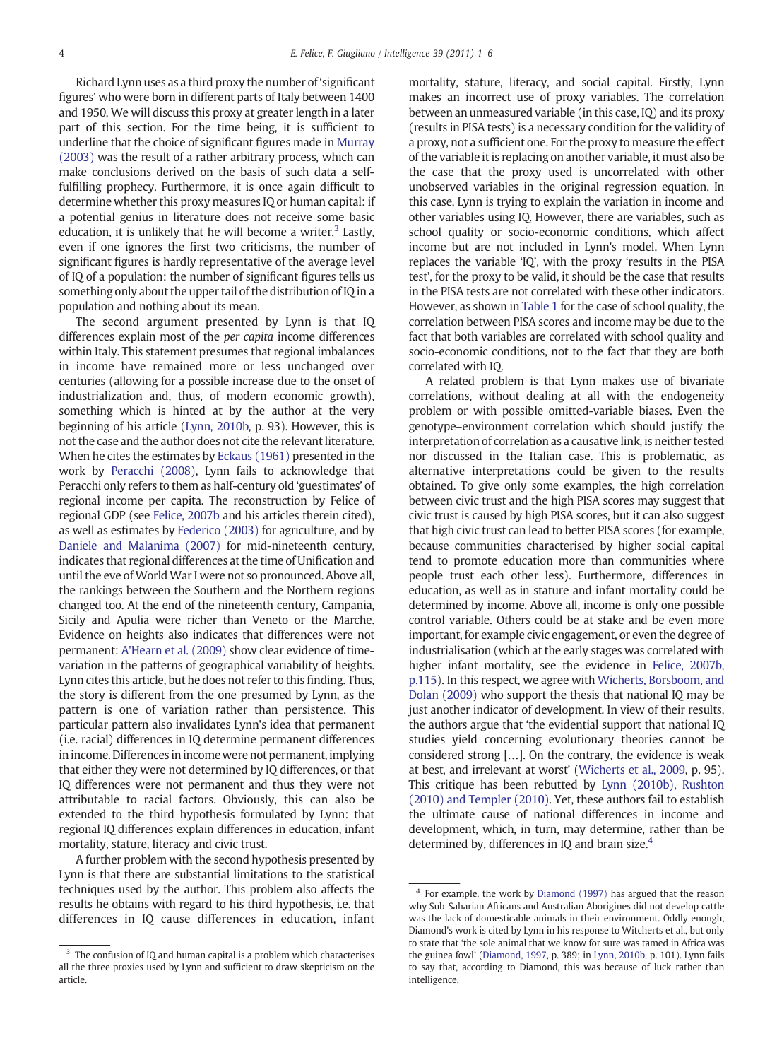Richard Lynn uses as a third proxy the number of 'significant figures' who were born in different parts of Italy between 1400 and 1950. We will discuss this proxy at greater length in a later part of this section. For the time being, it is sufficient to underline that the choice of significant figures made in [Murray](#page-5-0) [\(2003\)](#page-5-0) was the result of a rather arbitrary process, which can make conclusions derived on the basis of such data a selffulfilling prophecy. Furthermore, it is once again difficult to determine whether this proxy measures IQ or human capital: if a potential genius in literature does not receive some basic education, it is unlikely that he will become a writer.<sup>3</sup> Lastly, even if one ignores the first two criticisms, the number of significant figures is hardly representative of the average level of IQ of a population: the number of significant figures tells us something only about the upper tail of the distribution of IQ in a population and nothing about its mean.

The second argument presented by Lynn is that IQ differences explain most of the per capita income differences within Italy. This statement presumes that regional imbalances in income have remained more or less unchanged over centuries (allowing for a possible increase due to the onset of industrialization and, thus, of modern economic growth), something which is hinted at by the author at the very beginning of his article [\(Lynn, 2010b](#page-5-0), p. 93). However, this is not the case and the author does not cite the relevant literature. When he cites the estimates by [Eckaus \(1961\)](#page-5-0) presented in the work by [Peracchi \(2008\),](#page-5-0) Lynn fails to acknowledge that Peracchi only refers to them as half-century old 'guestimates' of regional income per capita. The reconstruction by Felice of regional GDP (see [Felice, 2007b](#page-5-0) and his articles therein cited), as well as estimates by [Federico \(2003\)](#page-5-0) for agriculture, and by [Daniele and Malanima \(2007\)](#page-5-0) for mid-nineteenth century, indicates that regional differences at the time of Unification and until the eve of World War I were not so pronounced. Above all, the rankings between the Southern and the Northern regions changed too. At the end of the nineteenth century, Campania, Sicily and Apulia were richer than Veneto or the Marche. Evidence on heights also indicates that differences were not permanent: [A'Hearn et al. \(2009\)](#page-5-0) show clear evidence of timevariation in the patterns of geographical variability of heights. Lynn cites this article, but he does not refer to this finding. Thus, the story is different from the one presumed by Lynn, as the pattern is one of variation rather than persistence. This particular pattern also invalidates Lynn's idea that permanent (i.e. racial) differences in IQ determine permanent differences in income. Differences in income were not permanent, implying that either they were not determined by IQ differences, or that IQ differences were not permanent and thus they were not attributable to racial factors. Obviously, this can also be extended to the third hypothesis formulated by Lynn: that regional IQ differences explain differences in education, infant mortality, stature, literacy and civic trust.

A further problem with the second hypothesis presented by Lynn is that there are substantial limitations to the statistical techniques used by the author. This problem also affects the results he obtains with regard to his third hypothesis, i.e. that differences in IQ cause differences in education, infant mortality, stature, literacy, and social capital. Firstly, Lynn makes an incorrect use of proxy variables. The correlation between an unmeasured variable (in this case, IQ) and its proxy (results in PISA tests) is a necessary condition for the validity of a proxy, not a sufficient one. For the proxy to measure the effect of the variable it is replacing on another variable, it must also be the case that the proxy used is uncorrelated with other unobserved variables in the original regression equation. In this case, Lynn is trying to explain the variation in income and other variables using IQ. However, there are variables, such as school quality or socio-economic conditions, which affect income but are not included in Lynn's model. When Lynn replaces the variable 'IQ', with the proxy 'results in the PISA test', for the proxy to be valid, it should be the case that results in the PISA tests are not correlated with these other indicators. However, as shown in [Table 1](#page-2-0) for the case of school quality, the correlation between PISA scores and income may be due to the fact that both variables are correlated with school quality and socio-economic conditions, not to the fact that they are both correlated with IQ.

A related problem is that Lynn makes use of bivariate correlations, without dealing at all with the endogeneity problem or with possible omitted-variable biases. Even the genotype–environment correlation which should justify the interpretation of correlation as a causative link, is neither tested nor discussed in the Italian case. This is problematic, as alternative interpretations could be given to the results obtained. To give only some examples, the high correlation between civic trust and the high PISA scores may suggest that civic trust is caused by high PISA scores, but it can also suggest that high civic trust can lead to better PISA scores (for example, because communities characterised by higher social capital tend to promote education more than communities where people trust each other less). Furthermore, differences in education, as well as in stature and infant mortality could be determined by income. Above all, income is only one possible control variable. Others could be at stake and be even more important, for example civic engagement, or even the degree of industrialisation (which at the early stages was correlated with higher infant mortality, see the evidence in [Felice, 2007b,](#page-5-0) [p.115](#page-5-0)). In this respect, we agree with [Wicherts, Borsboom, and](#page-5-0) [Dolan \(2009\)](#page-5-0) who support the thesis that national IQ may be just another indicator of development. In view of their results, the authors argue that 'the evidential support that national IQ studies yield concerning evolutionary theories cannot be considered strong […]. On the contrary, the evidence is weak at best, and irrelevant at worst' ([Wicherts et al., 2009,](#page-5-0) p. 95). This critique has been rebutted by [Lynn \(2010b\), Rushton](#page-5-0) [\(2010\) and Templer \(2010\).](#page-5-0) Yet, these authors fail to establish the ultimate cause of national differences in income and development, which, in turn, may determine, rather than be determined by, differences in IQ and brain size. $4$ 

 $3\text{ }$  The confusion of IQ and human capital is a problem which characterises all the three proxies used by Lynn and sufficient to draw skepticism on the article.

<sup>4</sup> For example, the work by [Diamond \(1997\)](#page-5-0) has argued that the reason why Sub-Saharian Africans and Australian Aborigines did not develop cattle was the lack of domesticable animals in their environment. Oddly enough, Diamond's work is cited by Lynn in his response to Witcherts et al., but only to state that 'the sole animal that we know for sure was tamed in Africa was the guinea fowl' [\(Diamond, 1997,](#page-5-0) p. 389; in [Lynn, 2010b,](#page-5-0) p. 101). Lynn fails to say that, according to Diamond, this was because of luck rather than intelligence.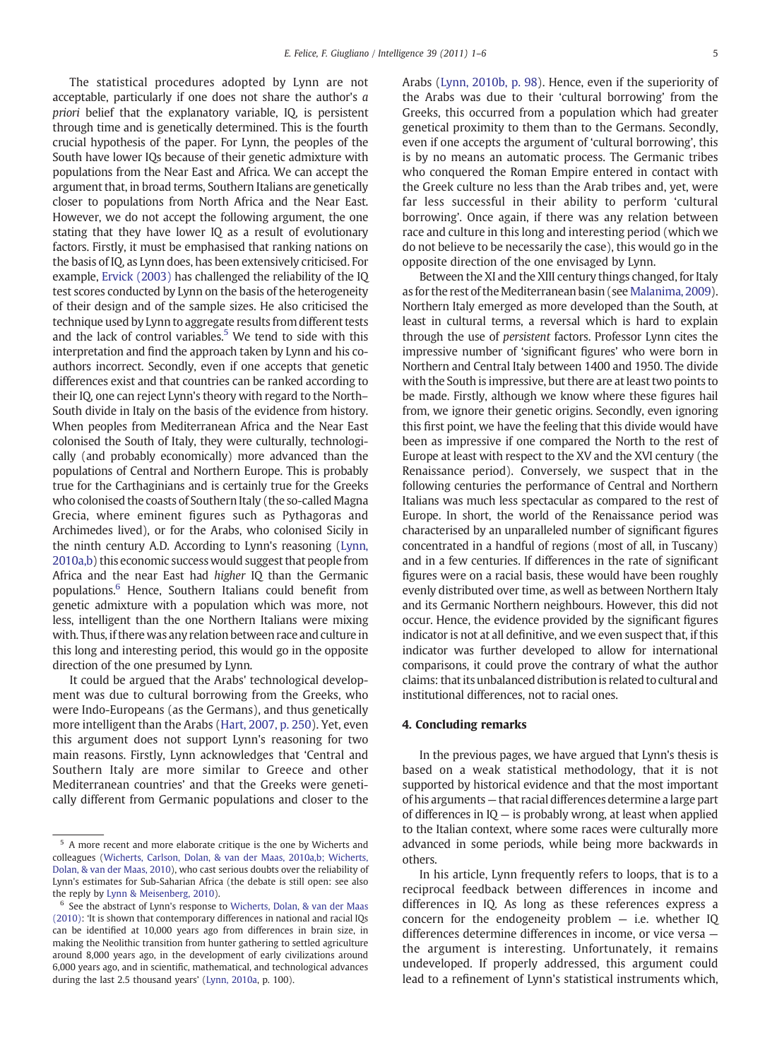<span id="page-4-0"></span>The statistical procedures adopted by Lynn are not acceptable, particularly if one does not share the author's a priori belief that the explanatory variable, IQ, is persistent through time and is genetically determined. This is the fourth crucial hypothesis of the paper. For Lynn, the peoples of the South have lower IQs because of their genetic admixture with populations from the Near East and Africa. We can accept the argument that, in broad terms, Southern Italians are genetically closer to populations from North Africa and the Near East. However, we do not accept the following argument, the one stating that they have lower IQ as a result of evolutionary factors. Firstly, it must be emphasised that ranking nations on the basis of IQ, as Lynn does, has been extensively criticised. For example, [Ervick \(2003\)](#page-5-0) has challenged the reliability of the IQ test scores conducted by Lynn on the basis of the heterogeneity of their design and of the sample sizes. He also criticised the technique used by Lynn to aggregate results from different tests and the lack of control variables.<sup>5</sup> We tend to side with this interpretation and find the approach taken by Lynn and his coauthors incorrect. Secondly, even if one accepts that genetic differences exist and that countries can be ranked according to their IQ, one can reject Lynn's theory with regard to the North– South divide in Italy on the basis of the evidence from history. When peoples from Mediterranean Africa and the Near East colonised the South of Italy, they were culturally, technologically (and probably economically) more advanced than the populations of Central and Northern Europe. This is probably true for the Carthaginians and is certainly true for the Greeks who colonised the coasts of Southern Italy (the so-called Magna Grecia, where eminent figures such as Pythagoras and Archimedes lived), or for the Arabs, who colonised Sicily in the ninth century A.D. According to Lynn's reasoning ([Lynn,](#page-5-0) [2010a,b\)](#page-5-0) this economic success would suggest that people from Africa and the near East had higher IQ than the Germanic populations.6 Hence, Southern Italians could benefit from genetic admixture with a population which was more, not less, intelligent than the one Northern Italians were mixing with. Thus, if there was any relation between race and culture in this long and interesting period, this would go in the opposite direction of the one presumed by Lynn.

It could be argued that the Arabs' technological development was due to cultural borrowing from the Greeks, who were Indo-Europeans (as the Germans), and thus genetically more intelligent than the Arabs ([Hart, 2007, p. 250](#page-5-0)). Yet, even this argument does not support Lynn's reasoning for two main reasons. Firstly, Lynn acknowledges that 'Central and Southern Italy are more similar to Greece and other Mediterranean countries' and that the Greeks were genetically different from Germanic populations and closer to the

Arabs ([Lynn, 2010b, p. 98](#page-5-0)). Hence, even if the superiority of the Arabs was due to their 'cultural borrowing' from the Greeks, this occurred from a population which had greater genetical proximity to them than to the Germans. Secondly, even if one accepts the argument of 'cultural borrowing', this is by no means an automatic process. The Germanic tribes who conquered the Roman Empire entered in contact with the Greek culture no less than the Arab tribes and, yet, were far less successful in their ability to perform 'cultural borrowing'. Once again, if there was any relation between race and culture in this long and interesting period (which we do not believe to be necessarily the case), this would go in the opposite direction of the one envisaged by Lynn.

Between the XI and the XIII century things changed, for Italy as for the rest of the Mediterranean basin (see [Malanima, 2009\)](#page-5-0). Northern Italy emerged as more developed than the South, at least in cultural terms, a reversal which is hard to explain through the use of persistent factors. Professor Lynn cites the impressive number of 'significant figures' who were born in Northern and Central Italy between 1400 and 1950. The divide with the South is impressive, but there are at least two points to be made. Firstly, although we know where these figures hail from, we ignore their genetic origins. Secondly, even ignoring this first point, we have the feeling that this divide would have been as impressive if one compared the North to the rest of Europe at least with respect to the XV and the XVI century (the Renaissance period). Conversely, we suspect that in the following centuries the performance of Central and Northern Italians was much less spectacular as compared to the rest of Europe. In short, the world of the Renaissance period was characterised by an unparalleled number of significant figures concentrated in a handful of regions (most of all, in Tuscany) and in a few centuries. If differences in the rate of significant figures were on a racial basis, these would have been roughly evenly distributed over time, as well as between Northern Italy and its Germanic Northern neighbours. However, this did not occur. Hence, the evidence provided by the significant figures indicator is not at all definitive, and we even suspect that, if this indicator was further developed to allow for international comparisons, it could prove the contrary of what the author claims: that its unbalanced distribution is related to cultural and institutional differences, not to racial ones.

#### 4. Concluding remarks

In the previous pages, we have argued that Lynn's thesis is based on a weak statistical methodology, that it is not supported by historical evidence and that the most important of his arguments — that racial differences determine a large part of differences in IQ — is probably wrong, at least when applied to the Italian context, where some races were culturally more advanced in some periods, while being more backwards in others.

In his article, Lynn frequently refers to loops, that is to a reciprocal feedback between differences in income and differences in IQ. As long as these references express a concern for the endogeneity problem — i.e. whether IQ differences determine differences in income, or vice versa the argument is interesting. Unfortunately, it remains undeveloped. If properly addressed, this argument could lead to a refinement of Lynn's statistical instruments which,

 $5$  A more recent and more elaborate critique is the one by Wicherts and colleagues ([Wicherts, Carlson, Dolan, & van der Maas, 2010a,b; Wicherts,](#page-5-0) [Dolan, & van der Maas, 2010\)](#page-5-0), who cast serious doubts over the reliability of Lynn's estimates for Sub-Saharian Africa (the debate is still open: see also the reply by [Lynn & Meisenberg, 2010](#page-5-0)).

<sup>6</sup> See the abstract of Lynn's response to [Wicherts, Dolan, & van der Maas](#page-5-0) [\(2010\)](#page-5-0): 'It is shown that contemporary differences in national and racial IQs can be identified at 10,000 years ago from differences in brain size, in making the Neolithic transition from hunter gathering to settled agriculture around 8,000 years ago, in the development of early civilizations around 6,000 years ago, and in scientific, mathematical, and technological advances during the last 2.5 thousand years' [\(Lynn, 2010a](#page-5-0), p. 100).